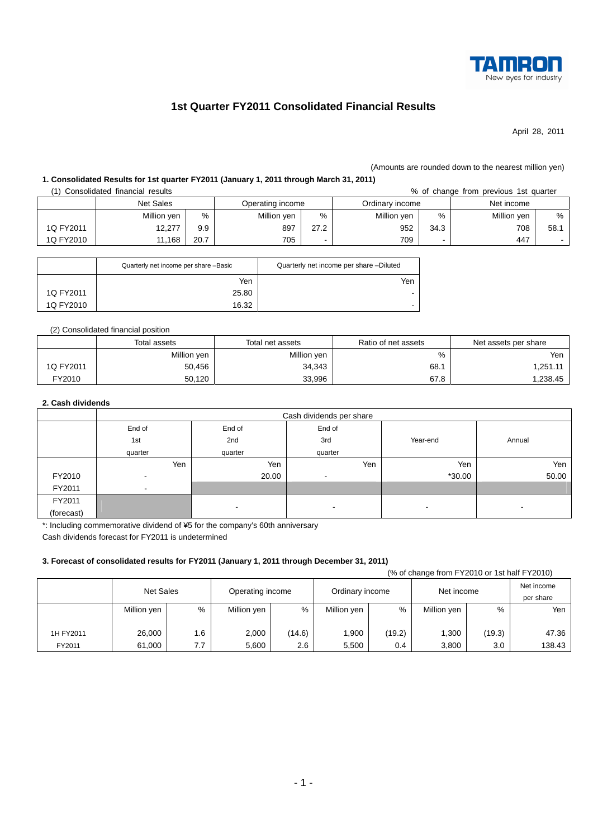

# **1st Quarter FY2011 Consolidated Financial Results**

April 28, 2011

#### (Amounts are rounded down to the nearest million yen)

## **1. Consolidated Results for 1st quarter FY2011 (January 1, 2011 through March 31, 2011)**

(1) Consolidated financial results % of change from previous 1st quarter

|           |                  |      |                  |      |                 |      | ------------ | ---------- |
|-----------|------------------|------|------------------|------|-----------------|------|--------------|------------|
|           | <b>Net Sales</b> |      | Operating income |      | Ordinarv income |      | Net income   |            |
|           | Million yen      | %    | Million yen      | %    | Million yen     | %    | Million yen  | %          |
| 1Q FY2011 | 12,277           | 9.9  | 897              | 27.2 | 952             | 34.3 | 708          | 58.        |
| 1Q FY2010 | 11,168           | 20.7 | 705              |      | 709             |      | 447          |            |

|           | Quarterly net income per share -Basic | Quarterly net income per share -Diluted |
|-----------|---------------------------------------|-----------------------------------------|
|           | Yen                                   | Yen                                     |
| 1Q FY2011 | 25.80                                 |                                         |
| 1Q FY2010 | 16.32                                 |                                         |

#### (2) Consolidated financial position

|           | Total assets | Total net assets | Ratio of net assets | Net assets per share |
|-----------|--------------|------------------|---------------------|----------------------|
|           | Million yen  | Million yen      | %                   | Yen                  |
| 1Q FY2011 | 50,456       | 34,343           | 68.7                | 1,251.11             |
| FY2010    | 50.120       | 33,996           | 67.8                | 1,238.45             |

## **2. Cash dividends**

|            | Cash dividends per share |         |         |                          |        |  |
|------------|--------------------------|---------|---------|--------------------------|--------|--|
|            | End of                   | End of  | End of  |                          |        |  |
|            | 1st                      | 2nd     | 3rd     | Year-end                 | Annual |  |
|            | quarter                  | quarter | quarter |                          |        |  |
|            | Yen                      | Yen     | Yen     | Yen                      | Yen    |  |
| FY2010     | $\overline{\phantom{a}}$ | 20.00   | $\,$    | $*30.00$                 | 50.00  |  |
| FY2011     | $\overline{\phantom{a}}$ |         |         |                          |        |  |
| FY2011     |                          |         |         |                          |        |  |
| (forecast) |                          | -       | $\,$    | $\overline{\phantom{a}}$ |        |  |

\*: Including commemorative dividend of ¥5 for the company's 60th anniversary

Cash dividends forecast for FY2011 is undetermined

## **3. Forecast of consolidated results for FY2011 (January 1, 2011 through December 31, 2011)**

|           | (% of change from FY2010 or 1st half FY2010) |     |                  |        |                 |        |             |        |                         |
|-----------|----------------------------------------------|-----|------------------|--------|-----------------|--------|-------------|--------|-------------------------|
|           | <b>Net Sales</b>                             |     | Operating income |        | Ordinary income |        | Net income  |        | Net income<br>per share |
|           | Million yen                                  | %   | Million yen      | %      | Million yen     | %      | Million yen | $\%$   | Yen                     |
|           |                                              |     |                  |        |                 |        |             |        |                         |
| 1H FY2011 | 26.000                                       | 1.6 | 2.000            | (14.6) | 1,900           | (19.2) | 1,300       | (19.3) | 47.36                   |
| FY2011    | 61,000                                       | 7.7 | 5,600            | 2.6    | 5,500           | 0.4    | 3,800       | 3.0    | 138.43                  |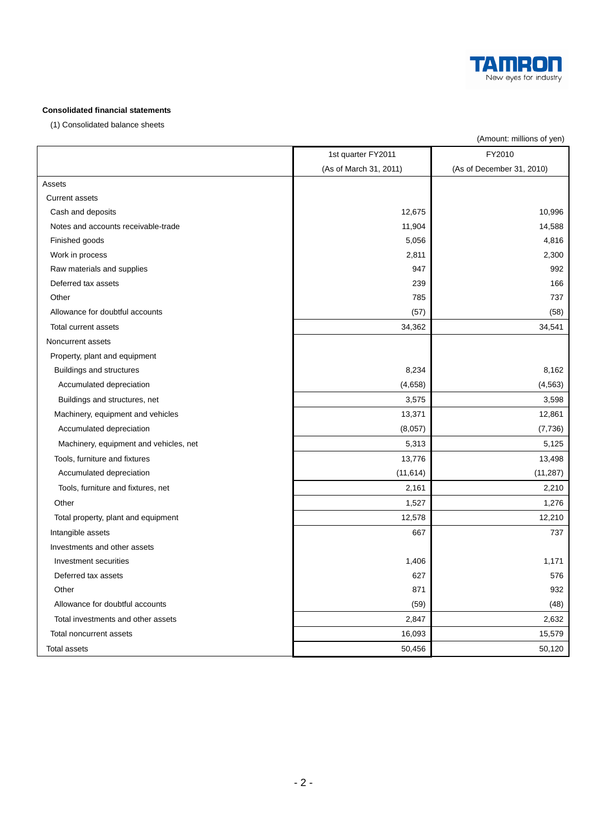

## **Consolidated financial statements**

(1) Consolidated balance sheets

| FY2010<br>1st quarter FY2011<br>(As of December 31, 2010)<br>(As of March 31, 2011)<br>Assets<br><b>Current assets</b><br>Cash and deposits<br>12,675<br>10,996<br>14,588<br>Notes and accounts receivable-trade<br>11,904<br>Finished goods<br>5,056<br>4,816<br>2,811<br>2,300<br>Work in process<br>Raw materials and supplies<br>947<br>992<br>239<br>Deferred tax assets<br>166<br>Other<br>785<br>737<br>Allowance for doubtful accounts<br>(57)<br>(58)<br>34,541<br>Total current assets<br>34,362<br>Noncurrent assets<br>Property, plant and equipment<br>8,234<br>8,162<br>Buildings and structures<br>(4, 563)<br>Accumulated depreciation<br>(4,658)<br>Buildings and structures, net<br>3,575<br>3,598<br>Machinery, equipment and vehicles<br>13,371<br>12,861<br>Accumulated depreciation<br>(8,057)<br>(7, 736)<br>5,125<br>Machinery, equipment and vehicles, net<br>5,313<br>Tools, furniture and fixtures<br>13,776<br>13,498<br>Accumulated depreciation<br>(11, 614)<br>(11, 287)<br>Tools, furniture and fixtures, net<br>2,161<br>2,210<br>Other<br>1,276<br>1,527<br>12,210<br>12,578<br>Total property, plant and equipment<br>Intangible assets<br>667<br>737<br>Investments and other assets<br>Investment securities<br>1,406<br>1,171<br>627<br>576<br>Deferred tax assets<br>Other<br>871<br>932<br>Allowance for doubtful accounts<br>(59)<br>(48)<br>2,847<br>2,632<br>Total investments and other assets<br>Total noncurrent assets<br>16,093<br>15,579<br>50,456<br>50,120<br>Total assets |  | (Amount: millions of yen) |
|-------------------------------------------------------------------------------------------------------------------------------------------------------------------------------------------------------------------------------------------------------------------------------------------------------------------------------------------------------------------------------------------------------------------------------------------------------------------------------------------------------------------------------------------------------------------------------------------------------------------------------------------------------------------------------------------------------------------------------------------------------------------------------------------------------------------------------------------------------------------------------------------------------------------------------------------------------------------------------------------------------------------------------------------------------------------------------------------------------------------------------------------------------------------------------------------------------------------------------------------------------------------------------------------------------------------------------------------------------------------------------------------------------------------------------------------------------------------------------------------------------------------------------|--|---------------------------|
|                                                                                                                                                                                                                                                                                                                                                                                                                                                                                                                                                                                                                                                                                                                                                                                                                                                                                                                                                                                                                                                                                                                                                                                                                                                                                                                                                                                                                                                                                                                               |  |                           |
|                                                                                                                                                                                                                                                                                                                                                                                                                                                                                                                                                                                                                                                                                                                                                                                                                                                                                                                                                                                                                                                                                                                                                                                                                                                                                                                                                                                                                                                                                                                               |  |                           |
|                                                                                                                                                                                                                                                                                                                                                                                                                                                                                                                                                                                                                                                                                                                                                                                                                                                                                                                                                                                                                                                                                                                                                                                                                                                                                                                                                                                                                                                                                                                               |  |                           |
|                                                                                                                                                                                                                                                                                                                                                                                                                                                                                                                                                                                                                                                                                                                                                                                                                                                                                                                                                                                                                                                                                                                                                                                                                                                                                                                                                                                                                                                                                                                               |  |                           |
|                                                                                                                                                                                                                                                                                                                                                                                                                                                                                                                                                                                                                                                                                                                                                                                                                                                                                                                                                                                                                                                                                                                                                                                                                                                                                                                                                                                                                                                                                                                               |  |                           |
|                                                                                                                                                                                                                                                                                                                                                                                                                                                                                                                                                                                                                                                                                                                                                                                                                                                                                                                                                                                                                                                                                                                                                                                                                                                                                                                                                                                                                                                                                                                               |  |                           |
|                                                                                                                                                                                                                                                                                                                                                                                                                                                                                                                                                                                                                                                                                                                                                                                                                                                                                                                                                                                                                                                                                                                                                                                                                                                                                                                                                                                                                                                                                                                               |  |                           |
|                                                                                                                                                                                                                                                                                                                                                                                                                                                                                                                                                                                                                                                                                                                                                                                                                                                                                                                                                                                                                                                                                                                                                                                                                                                                                                                                                                                                                                                                                                                               |  |                           |
|                                                                                                                                                                                                                                                                                                                                                                                                                                                                                                                                                                                                                                                                                                                                                                                                                                                                                                                                                                                                                                                                                                                                                                                                                                                                                                                                                                                                                                                                                                                               |  |                           |
|                                                                                                                                                                                                                                                                                                                                                                                                                                                                                                                                                                                                                                                                                                                                                                                                                                                                                                                                                                                                                                                                                                                                                                                                                                                                                                                                                                                                                                                                                                                               |  |                           |
|                                                                                                                                                                                                                                                                                                                                                                                                                                                                                                                                                                                                                                                                                                                                                                                                                                                                                                                                                                                                                                                                                                                                                                                                                                                                                                                                                                                                                                                                                                                               |  |                           |
|                                                                                                                                                                                                                                                                                                                                                                                                                                                                                                                                                                                                                                                                                                                                                                                                                                                                                                                                                                                                                                                                                                                                                                                                                                                                                                                                                                                                                                                                                                                               |  |                           |
|                                                                                                                                                                                                                                                                                                                                                                                                                                                                                                                                                                                                                                                                                                                                                                                                                                                                                                                                                                                                                                                                                                                                                                                                                                                                                                                                                                                                                                                                                                                               |  |                           |
|                                                                                                                                                                                                                                                                                                                                                                                                                                                                                                                                                                                                                                                                                                                                                                                                                                                                                                                                                                                                                                                                                                                                                                                                                                                                                                                                                                                                                                                                                                                               |  |                           |
|                                                                                                                                                                                                                                                                                                                                                                                                                                                                                                                                                                                                                                                                                                                                                                                                                                                                                                                                                                                                                                                                                                                                                                                                                                                                                                                                                                                                                                                                                                                               |  |                           |
|                                                                                                                                                                                                                                                                                                                                                                                                                                                                                                                                                                                                                                                                                                                                                                                                                                                                                                                                                                                                                                                                                                                                                                                                                                                                                                                                                                                                                                                                                                                               |  |                           |
|                                                                                                                                                                                                                                                                                                                                                                                                                                                                                                                                                                                                                                                                                                                                                                                                                                                                                                                                                                                                                                                                                                                                                                                                                                                                                                                                                                                                                                                                                                                               |  |                           |
|                                                                                                                                                                                                                                                                                                                                                                                                                                                                                                                                                                                                                                                                                                                                                                                                                                                                                                                                                                                                                                                                                                                                                                                                                                                                                                                                                                                                                                                                                                                               |  |                           |
|                                                                                                                                                                                                                                                                                                                                                                                                                                                                                                                                                                                                                                                                                                                                                                                                                                                                                                                                                                                                                                                                                                                                                                                                                                                                                                                                                                                                                                                                                                                               |  |                           |
|                                                                                                                                                                                                                                                                                                                                                                                                                                                                                                                                                                                                                                                                                                                                                                                                                                                                                                                                                                                                                                                                                                                                                                                                                                                                                                                                                                                                                                                                                                                               |  |                           |
|                                                                                                                                                                                                                                                                                                                                                                                                                                                                                                                                                                                                                                                                                                                                                                                                                                                                                                                                                                                                                                                                                                                                                                                                                                                                                                                                                                                                                                                                                                                               |  |                           |
|                                                                                                                                                                                                                                                                                                                                                                                                                                                                                                                                                                                                                                                                                                                                                                                                                                                                                                                                                                                                                                                                                                                                                                                                                                                                                                                                                                                                                                                                                                                               |  |                           |
|                                                                                                                                                                                                                                                                                                                                                                                                                                                                                                                                                                                                                                                                                                                                                                                                                                                                                                                                                                                                                                                                                                                                                                                                                                                                                                                                                                                                                                                                                                                               |  |                           |
|                                                                                                                                                                                                                                                                                                                                                                                                                                                                                                                                                                                                                                                                                                                                                                                                                                                                                                                                                                                                                                                                                                                                                                                                                                                                                                                                                                                                                                                                                                                               |  |                           |
|                                                                                                                                                                                                                                                                                                                                                                                                                                                                                                                                                                                                                                                                                                                                                                                                                                                                                                                                                                                                                                                                                                                                                                                                                                                                                                                                                                                                                                                                                                                               |  |                           |
|                                                                                                                                                                                                                                                                                                                                                                                                                                                                                                                                                                                                                                                                                                                                                                                                                                                                                                                                                                                                                                                                                                                                                                                                                                                                                                                                                                                                                                                                                                                               |  |                           |
|                                                                                                                                                                                                                                                                                                                                                                                                                                                                                                                                                                                                                                                                                                                                                                                                                                                                                                                                                                                                                                                                                                                                                                                                                                                                                                                                                                                                                                                                                                                               |  |                           |
|                                                                                                                                                                                                                                                                                                                                                                                                                                                                                                                                                                                                                                                                                                                                                                                                                                                                                                                                                                                                                                                                                                                                                                                                                                                                                                                                                                                                                                                                                                                               |  |                           |
|                                                                                                                                                                                                                                                                                                                                                                                                                                                                                                                                                                                                                                                                                                                                                                                                                                                                                                                                                                                                                                                                                                                                                                                                                                                                                                                                                                                                                                                                                                                               |  |                           |
|                                                                                                                                                                                                                                                                                                                                                                                                                                                                                                                                                                                                                                                                                                                                                                                                                                                                                                                                                                                                                                                                                                                                                                                                                                                                                                                                                                                                                                                                                                                               |  |                           |
|                                                                                                                                                                                                                                                                                                                                                                                                                                                                                                                                                                                                                                                                                                                                                                                                                                                                                                                                                                                                                                                                                                                                                                                                                                                                                                                                                                                                                                                                                                                               |  |                           |
|                                                                                                                                                                                                                                                                                                                                                                                                                                                                                                                                                                                                                                                                                                                                                                                                                                                                                                                                                                                                                                                                                                                                                                                                                                                                                                                                                                                                                                                                                                                               |  |                           |
|                                                                                                                                                                                                                                                                                                                                                                                                                                                                                                                                                                                                                                                                                                                                                                                                                                                                                                                                                                                                                                                                                                                                                                                                                                                                                                                                                                                                                                                                                                                               |  |                           |
|                                                                                                                                                                                                                                                                                                                                                                                                                                                                                                                                                                                                                                                                                                                                                                                                                                                                                                                                                                                                                                                                                                                                                                                                                                                                                                                                                                                                                                                                                                                               |  |                           |
|                                                                                                                                                                                                                                                                                                                                                                                                                                                                                                                                                                                                                                                                                                                                                                                                                                                                                                                                                                                                                                                                                                                                                                                                                                                                                                                                                                                                                                                                                                                               |  |                           |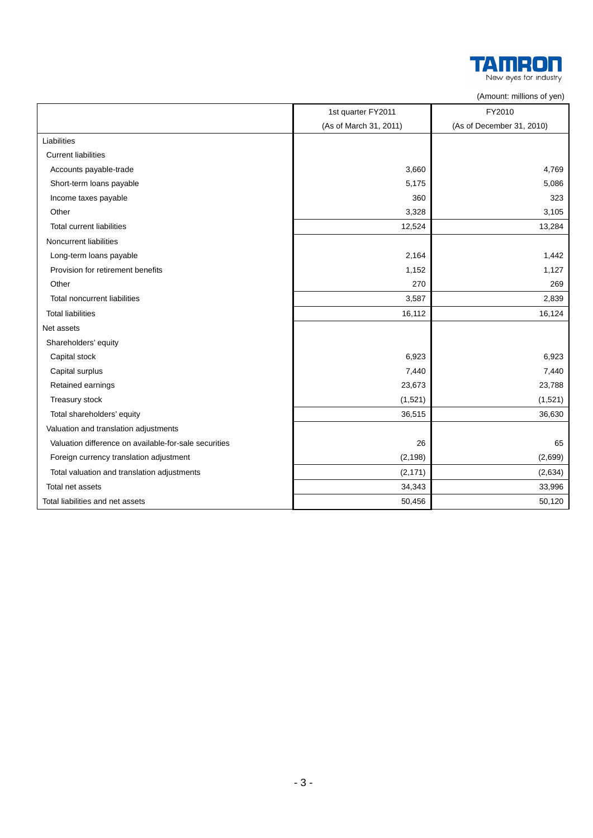

|                                                       |                        | (AUTOMIK, THILIOTIO OF YOU) |
|-------------------------------------------------------|------------------------|-----------------------------|
|                                                       | 1st quarter FY2011     | FY2010                      |
|                                                       | (As of March 31, 2011) | (As of December 31, 2010)   |
| Liabilities                                           |                        |                             |
| <b>Current liabilities</b>                            |                        |                             |
| Accounts payable-trade                                | 3,660                  | 4,769                       |
| Short-term loans payable                              | 5,175                  | 5,086                       |
| Income taxes payable                                  | 360                    | 323                         |
| Other                                                 | 3,328                  | 3,105                       |
| <b>Total current liabilities</b>                      | 12,524                 | 13,284                      |
| Noncurrent liabilities                                |                        |                             |
| Long-term loans payable                               | 2,164                  | 1,442                       |
| Provision for retirement benefits                     | 1,152                  | 1,127                       |
| Other                                                 | 270                    | 269                         |
| <b>Total noncurrent liabilities</b>                   | 3,587                  | 2,839                       |
| <b>Total liabilities</b>                              | 16,112                 | 16,124                      |
| Net assets                                            |                        |                             |
| Shareholders' equity                                  |                        |                             |
| Capital stock                                         | 6,923                  | 6,923                       |
| Capital surplus                                       | 7,440                  | 7,440                       |
| Retained earnings                                     | 23,673                 | 23,788                      |
| Treasury stock                                        | (1,521)                | (1,521)                     |
| Total shareholders' equity                            | 36,515                 | 36,630                      |
| Valuation and translation adjustments                 |                        |                             |
| Valuation difference on available-for-sale securities | 26                     | 65                          |
| Foreign currency translation adjustment               | (2, 198)               | (2,699)                     |
| Total valuation and translation adjustments           | (2, 171)               | (2,634)                     |
| Total net assets                                      | 34,343                 | 33,996                      |
| Total liabilities and net assets                      | 50,456                 | 50,120                      |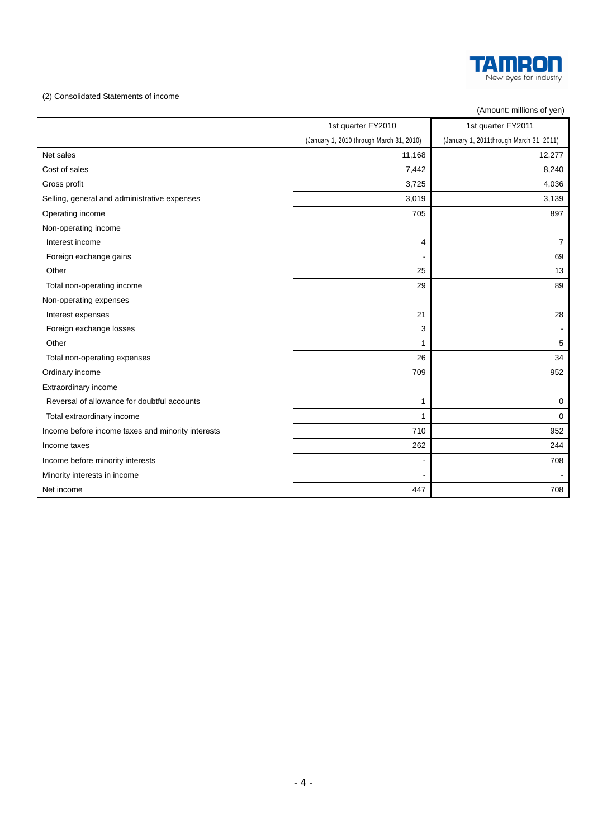

## (2) Consolidated Statements of income

(Amount: millions of yen)

|                                                   | 1st quarter FY2010                       | 1st quarter FY2011                      |
|---------------------------------------------------|------------------------------------------|-----------------------------------------|
|                                                   | (January 1, 2010 through March 31, 2010) | (January 1, 2011through March 31, 2011) |
| Net sales                                         | 11,168                                   | 12,277                                  |
| Cost of sales                                     | 7,442                                    | 8,240                                   |
| Gross profit                                      | 3,725                                    | 4,036                                   |
| Selling, general and administrative expenses      | 3,019                                    | 3,139                                   |
| Operating income                                  | 705                                      | 897                                     |
| Non-operating income                              |                                          |                                         |
| Interest income                                   | 4                                        | $\overline{7}$                          |
| Foreign exchange gains                            |                                          | 69                                      |
| Other                                             | 25                                       | 13                                      |
| Total non-operating income                        | 29                                       | 89                                      |
| Non-operating expenses                            |                                          |                                         |
| Interest expenses                                 | 21                                       | 28                                      |
| Foreign exchange losses                           | 3                                        |                                         |
| Other                                             | 1                                        | 5                                       |
| Total non-operating expenses                      | 26                                       | 34                                      |
| Ordinary income                                   | 709                                      | 952                                     |
| Extraordinary income                              |                                          |                                         |
| Reversal of allowance for doubtful accounts       | 1                                        | $\mathbf 0$                             |
| Total extraordinary income                        | 1                                        | $\mathbf 0$                             |
| Income before income taxes and minority interests | 710                                      | 952                                     |
| Income taxes                                      | 262                                      | 244                                     |
| Income before minority interests                  |                                          | 708                                     |
| Minority interests in income                      |                                          |                                         |
| Net income                                        | 447                                      | 708                                     |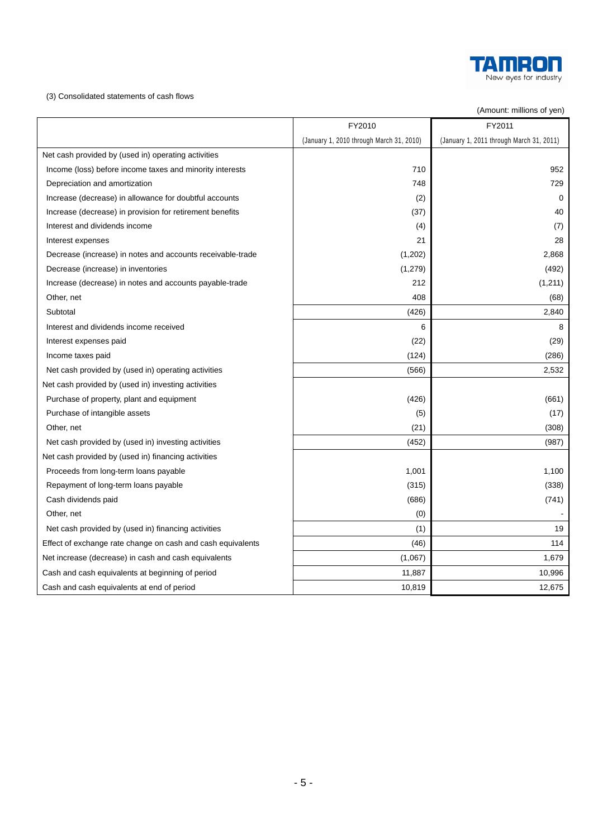

(3) Consolidated statements of cash flows

## (Amount: millions of yen)

|                                                             | FY2010                                   | FY2011                                   |
|-------------------------------------------------------------|------------------------------------------|------------------------------------------|
|                                                             | (January 1, 2010 through March 31, 2010) | (January 1, 2011 through March 31, 2011) |
| Net cash provided by (used in) operating activities         |                                          |                                          |
| Income (loss) before income taxes and minority interests    | 710                                      | 952                                      |
| Depreciation and amortization                               | 748                                      | 729                                      |
| Increase (decrease) in allowance for doubtful accounts      | (2)                                      | $\mathbf 0$                              |
| Increase (decrease) in provision for retirement benefits    | (37)                                     | 40                                       |
| Interest and dividends income                               | (4)                                      | (7)                                      |
| Interest expenses                                           | 21                                       | 28                                       |
| Decrease (increase) in notes and accounts receivable-trade  | (1,202)                                  | 2,868                                    |
| Decrease (increase) in inventories                          | (1, 279)                                 | (492)                                    |
| Increase (decrease) in notes and accounts payable-trade     | 212                                      | (1, 211)                                 |
| Other, net                                                  | 408                                      | (68)                                     |
| Subtotal                                                    | (426)                                    | 2,840                                    |
| Interest and dividends income received                      | 6                                        | 8                                        |
| Interest expenses paid                                      | (22)                                     | (29)                                     |
| Income taxes paid                                           | (124)                                    | (286)                                    |
| Net cash provided by (used in) operating activities         | (566)                                    | 2,532                                    |
| Net cash provided by (used in) investing activities         |                                          |                                          |
| Purchase of property, plant and equipment                   | (426)                                    | (661)                                    |
| Purchase of intangible assets                               | (5)                                      | (17)                                     |
| Other, net                                                  | (21)                                     | (308)                                    |
| Net cash provided by (used in) investing activities         | (452)                                    | (987)                                    |
| Net cash provided by (used in) financing activities         |                                          |                                          |
| Proceeds from long-term loans payable                       | 1,001                                    | 1,100                                    |
| Repayment of long-term loans payable                        | (315)                                    | (338)                                    |
| Cash dividends paid                                         | (686)                                    | (741)                                    |
| Other, net                                                  | (0)                                      |                                          |
| Net cash provided by (used in) financing activities         | (1)                                      | 19                                       |
| Effect of exchange rate change on cash and cash equivalents | (46)                                     | 114                                      |
| Net increase (decrease) in cash and cash equivalents        | (1,067)                                  | 1,679                                    |
| Cash and cash equivalents at beginning of period            | 11,887                                   | 10,996                                   |
| Cash and cash equivalents at end of period                  | 10,819                                   | 12,675                                   |